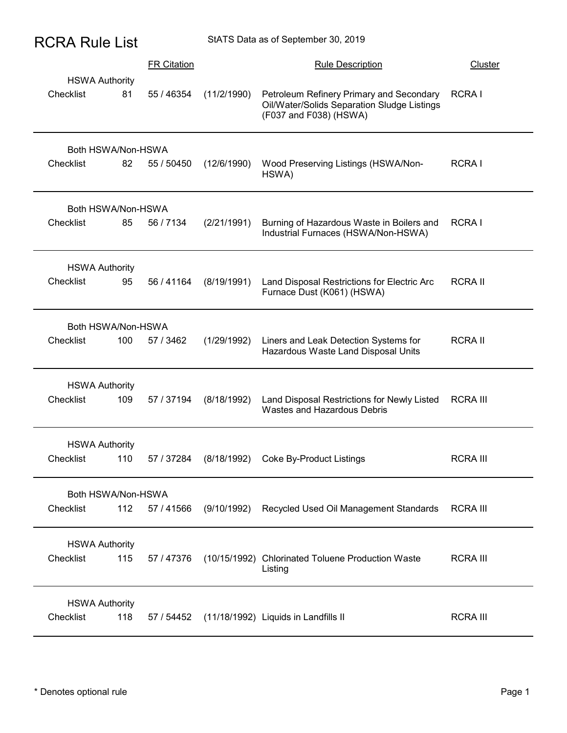| <b>RCRA Rule List</b> |                              |                    |              | StATS Data as of September 30, 2019                                                                               |                 |
|-----------------------|------------------------------|--------------------|--------------|-------------------------------------------------------------------------------------------------------------------|-----------------|
|                       |                              | <b>FR Citation</b> |              | <b>Rule Description</b>                                                                                           | <b>Cluster</b>  |
| Checklist             | <b>HSWA Authority</b><br>81  | 55 / 46354         | (11/2/1990)  | Petroleum Refinery Primary and Secondary<br>Oil/Water/Solids Separation Sludge Listings<br>(F037 and F038) (HSWA) | RCRA I          |
| Checklist             | Both HSWA/Non-HSWA<br>82     | 55 / 50450         | (12/6/1990)  | Wood Preserving Listings (HSWA/Non-<br>HSWA)                                                                      | RCRA I          |
| Checklist             | Both HSWA/Non-HSWA<br>85     | 56 / 7134          | (2/21/1991)  | Burning of Hazardous Waste in Boilers and<br>Industrial Furnaces (HSWA/Non-HSWA)                                  | RCRA I          |
| Checklist             | <b>HSWA Authority</b><br>95  | 56 / 41164         | (8/19/1991)  | Land Disposal Restrictions for Electric Arc<br>Furnace Dust (K061) (HSWA)                                         | <b>RCRA II</b>  |
| Checklist             | Both HSWA/Non-HSWA<br>100    | 57 / 3462          | (1/29/1992)  | Liners and Leak Detection Systems for<br>Hazardous Waste Land Disposal Units                                      | <b>RCRA II</b>  |
| Checklist             | <b>HSWA Authority</b><br>109 | 57 / 37194         | (8/18/1992)  | Land Disposal Restrictions for Newly Listed<br>Wastes and Hazardous Debris                                        | <b>RCRA III</b> |
| Checklist             | <b>HSWA Authority</b><br>110 | 57 / 37284         | (8/18/1992)  | <b>Coke By-Product Listings</b>                                                                                   | <b>RCRA III</b> |
| Checklist             | Both HSWA/Non-HSWA<br>112    | 57 / 41566         | (9/10/1992)  | Recycled Used Oil Management Standards                                                                            | <b>RCRA III</b> |
| Checklist             | <b>HSWA Authority</b><br>115 | 57 / 47376         | (10/15/1992) | <b>Chlorinated Toluene Production Waste</b><br>Listing                                                            | <b>RCRA III</b> |
| Checklist             | <b>HSWA Authority</b><br>118 | 57 / 54452         |              | (11/18/1992) Liquids in Landfills II                                                                              | <b>RCRA III</b> |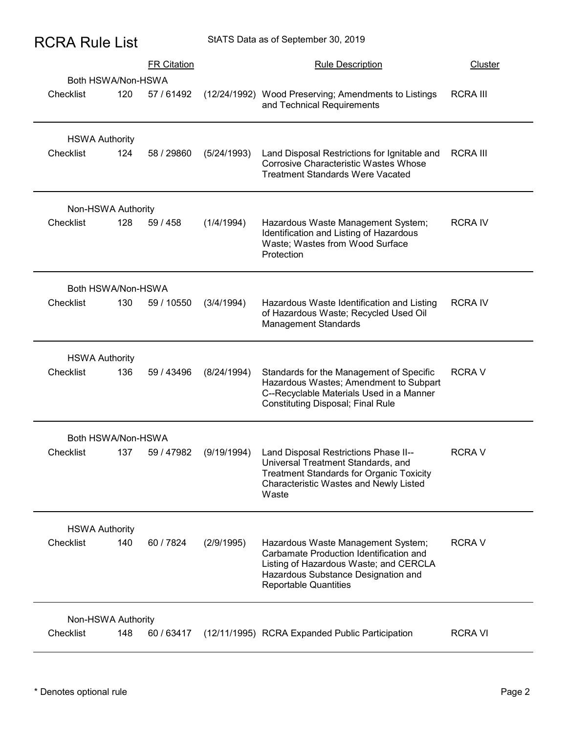| <b>RCRA Rule List</b> |  |  |
|-----------------------|--|--|
|-----------------------|--|--|

|                                    | <b>RCRA Rule List</b>                   | StATS Data as of September 30, 2019 |                                                                                                                                                                                                |                 |
|------------------------------------|-----------------------------------------|-------------------------------------|------------------------------------------------------------------------------------------------------------------------------------------------------------------------------------------------|-----------------|
|                                    | <b>FR Citation</b>                      |                                     | <b>Rule Description</b>                                                                                                                                                                        | <b>Cluster</b>  |
| Checklist                          | Both HSWA/Non-HSWA<br>120<br>57 / 61492 |                                     | (12/24/1992) Wood Preserving; Amendments to Listings<br>and Technical Requirements                                                                                                             | <b>RCRA III</b> |
| <b>HSWA Authority</b><br>Checklist | 124<br>58 / 29860                       | (5/24/1993)                         | Land Disposal Restrictions for Ignitable and<br><b>Corrosive Characteristic Wastes Whose</b><br><b>Treatment Standards Were Vacated</b>                                                        | <b>RCRA III</b> |
| Non-HSWA Authority<br>Checklist    | 128<br>59 / 458                         | (1/4/1994)                          | Hazardous Waste Management System;<br>Identification and Listing of Hazardous<br>Waste; Wastes from Wood Surface<br>Protection                                                                 | <b>RCRAIV</b>   |
| Checklist                          | Both HSWA/Non-HSWA<br>130<br>59 / 10550 | (3/4/1994)                          | Hazardous Waste Identification and Listing<br>of Hazardous Waste; Recycled Used Oil<br><b>Management Standards</b>                                                                             | <b>RCRAIV</b>   |
| <b>HSWA Authority</b><br>Checklist | 136<br>59 / 43496                       | (8/24/1994)                         | Standards for the Management of Specific<br>Hazardous Wastes; Amendment to Subpart<br>C--Recyclable Materials Used in a Manner<br><b>Constituting Disposal; Final Rule</b>                     | <b>RCRAV</b>    |
| Checklist                          | Both HSWA/Non-HSWA<br>137<br>59 / 47982 | (9/19/1994)                         | Land Disposal Restrictions Phase II--<br>Universal Treatment Standards, and<br><b>Treatment Standards for Organic Toxicity</b><br>Characteristic Wastes and Newly Listed<br>Waste              | <b>RCRAV</b>    |
| <b>HSWA Authority</b><br>Checklist | 140<br>60/7824                          | (2/9/1995)                          | Hazardous Waste Management System;<br>Carbamate Production Identification and<br>Listing of Hazardous Waste; and CERCLA<br>Hazardous Substance Designation and<br><b>Reportable Quantities</b> | <b>RCRAV</b>    |
| Non-HSWA Authority<br>Checklist    | 60 / 63417<br>148                       |                                     | (12/11/1995) RCRA Expanded Public Participation                                                                                                                                                | <b>RCRAVI</b>   |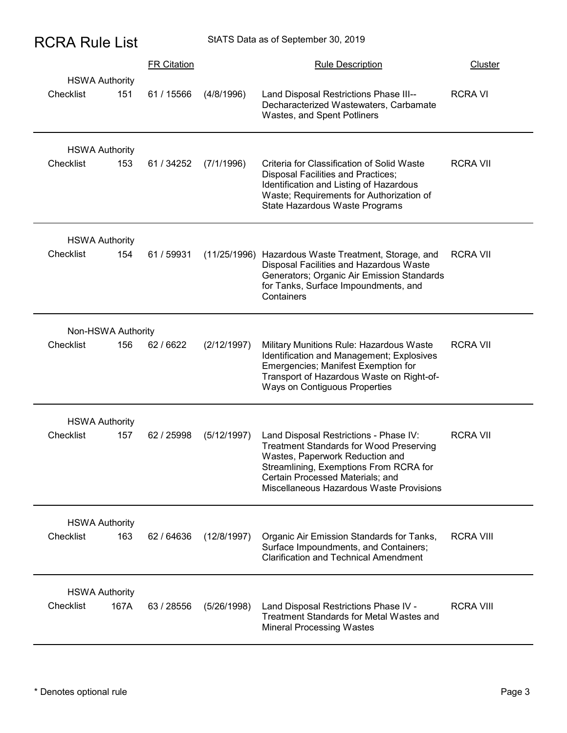|                                    | <b>RCRA Rule List</b> |                    |             | StATS Data as of September 30, 2019                                                                                                                                                                                                                   |                  |
|------------------------------------|-----------------------|--------------------|-------------|-------------------------------------------------------------------------------------------------------------------------------------------------------------------------------------------------------------------------------------------------------|------------------|
|                                    |                       | <b>FR Citation</b> |             | <b>Rule Description</b>                                                                                                                                                                                                                               | Cluster          |
| <b>HSWA Authority</b><br>Checklist | 151                   | 61 / 15566         | (4/8/1996)  | Land Disposal Restrictions Phase III--<br>Decharacterized Wastewaters, Carbamate<br>Wastes, and Spent Potliners                                                                                                                                       | <b>RCRAVI</b>    |
| <b>HSWA Authority</b><br>Checklist | 153                   | 61 / 34252         | (7/1/1996)  | Criteria for Classification of Solid Waste<br>Disposal Facilities and Practices;<br>Identification and Listing of Hazardous<br>Waste; Requirements for Authorization of<br>State Hazardous Waste Programs                                             | <b>RCRA VII</b>  |
| <b>HSWA Authority</b><br>Checklist | 154                   | 61 / 59931         |             | (11/25/1996) Hazardous Waste Treatment, Storage, and<br>Disposal Facilities and Hazardous Waste<br>Generators; Organic Air Emission Standards<br>for Tanks, Surface Impoundments, and<br>Containers                                                   | <b>RCRA VII</b>  |
| Non-HSWA Authority                 |                       |                    |             |                                                                                                                                                                                                                                                       |                  |
| Checklist                          | 156                   | 62/6622            | (2/12/1997) | Military Munitions Rule: Hazardous Waste<br>Identification and Management; Explosives<br>Emergencies; Manifest Exemption for<br>Transport of Hazardous Waste on Right-of-<br>Ways on Contiguous Properties                                            | <b>RCRA VII</b>  |
| <b>HSWA Authority</b>              |                       |                    |             |                                                                                                                                                                                                                                                       |                  |
| Checklist                          | 157                   | 62 / 25998         | (5/12/1997) | Land Disposal Restrictions - Phase IV:<br><b>Treatment Standards for Wood Preserving</b><br>Wastes, Paperwork Reduction and<br>Streamlining, Exemptions From RCRA for<br>Certain Processed Materials; and<br>Miscellaneous Hazardous Waste Provisions | <b>RCRA VII</b>  |
| <b>HSWA Authority</b><br>Checklist | 163                   | 62/64636           | (12/8/1997) | Organic Air Emission Standards for Tanks,<br>Surface Impoundments, and Containers;<br><b>Clarification and Technical Amendment</b>                                                                                                                    | <b>RCRA VIII</b> |
| <b>HSWA Authority</b>              |                       |                    |             |                                                                                                                                                                                                                                                       |                  |
| Checklist                          | 167A                  | 63 / 28556         | (5/26/1998) | Land Disposal Restrictions Phase IV -<br>Treatment Standards for Metal Wastes and<br><b>Mineral Processing Wastes</b>                                                                                                                                 | <b>RCRA VIII</b> |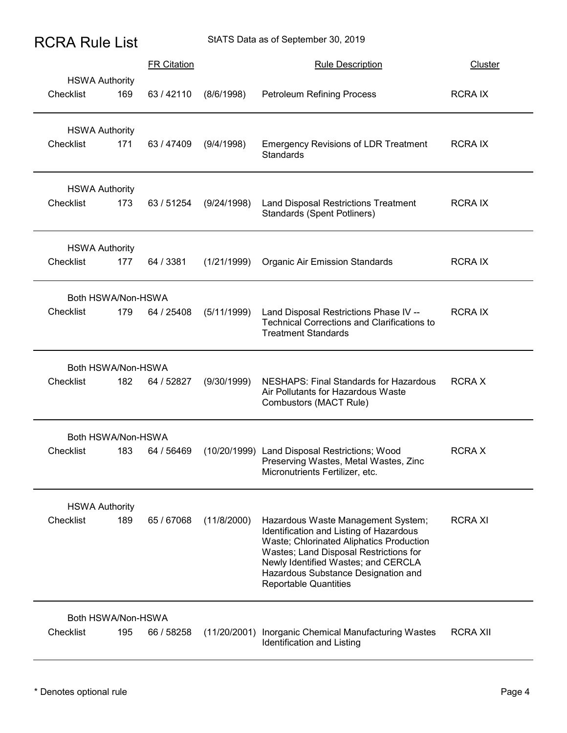| <b>RCRA Rule List</b> |  |  |
|-----------------------|--|--|
|-----------------------|--|--|

| <b>RCRA Rule List</b>                     |                    |             | StATS Data as of September 30, 2019                                                                                                                                                                                                                                               |                 |
|-------------------------------------------|--------------------|-------------|-----------------------------------------------------------------------------------------------------------------------------------------------------------------------------------------------------------------------------------------------------------------------------------|-----------------|
|                                           | <b>FR Citation</b> |             | <b>Rule Description</b>                                                                                                                                                                                                                                                           | <b>Cluster</b>  |
| <b>HSWA Authority</b><br>Checklist<br>169 | 63/42110           | (8/6/1998)  | <b>Petroleum Refining Process</b>                                                                                                                                                                                                                                                 | <b>RCRAIX</b>   |
| <b>HSWA Authority</b><br>Checklist<br>171 | 63 / 47409         | (9/4/1998)  | <b>Emergency Revisions of LDR Treatment</b><br><b>Standards</b>                                                                                                                                                                                                                   | <b>RCRAIX</b>   |
| <b>HSWA Authority</b><br>Checklist<br>173 | 63 / 51254         | (9/24/1998) | Land Disposal Restrictions Treatment<br><b>Standards (Spent Potliners)</b>                                                                                                                                                                                                        | <b>RCRAIX</b>   |
| <b>HSWA Authority</b><br>177<br>Checklist | 64 / 3381          | (1/21/1999) | <b>Organic Air Emission Standards</b>                                                                                                                                                                                                                                             | <b>RCRAIX</b>   |
| Both HSWA/Non-HSWA<br>179<br>Checklist    | 64 / 25408         | (5/11/1999) | Land Disposal Restrictions Phase IV --<br><b>Technical Corrections and Clarifications to</b><br><b>Treatment Standards</b>                                                                                                                                                        | <b>RCRAIX</b>   |
| Both HSWA/Non-HSWA<br>182<br>Checklist    | 64 / 52827         | (9/30/1999) | <b>NESHAPS: Final Standards for Hazardous</b><br>Air Pollutants for Hazardous Waste<br>Combustors (MACT Rule)                                                                                                                                                                     | <b>RCRAX</b>    |
| Both HSWA/Non-HSWA<br>Checklist<br>183    | 64 / 56469         |             | (10/20/1999) Land Disposal Restrictions; Wood<br>Preserving Wastes, Metal Wastes, Zinc<br>Micronutrients Fertilizer, etc.                                                                                                                                                         | <b>RCRAX</b>    |
| <b>HSWA Authority</b><br>Checklist<br>189 | 65 / 67068         | (11/8/2000) | Hazardous Waste Management System;<br>Identification and Listing of Hazardous<br>Waste; Chlorinated Aliphatics Production<br>Wastes; Land Disposal Restrictions for<br>Newly Identified Wastes; and CERCLA<br>Hazardous Substance Designation and<br><b>Reportable Quantities</b> | <b>RCRAXI</b>   |
| Both HSWA/Non-HSWA<br>Checklist<br>195    | 66 / 58258         |             | (11/20/2001) Inorganic Chemical Manufacturing Wastes<br>Identification and Listing                                                                                                                                                                                                | <b>RCRA XII</b> |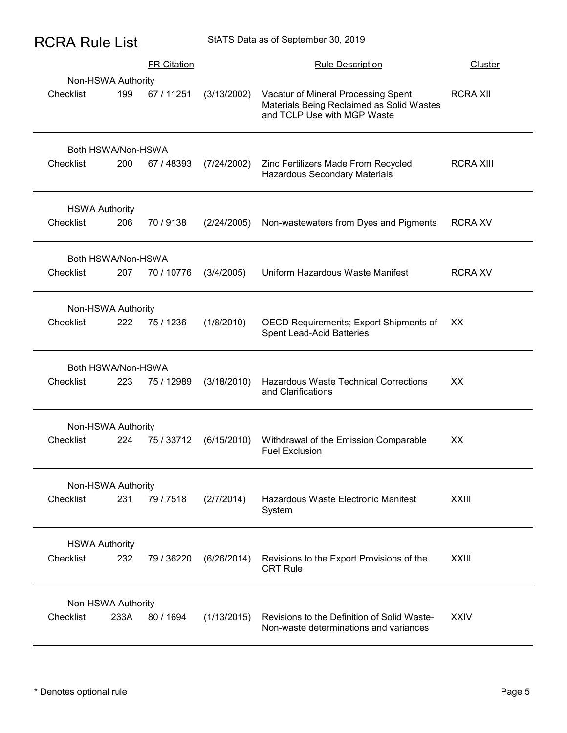| <b>RCRA Rule List</b> |  |  |
|-----------------------|--|--|
|-----------------------|--|--|

| <b>RCRA Rule List</b>              |      |                                  |             | StATS Data as of September 30, 2019                                                                         |                                   |
|------------------------------------|------|----------------------------------|-------------|-------------------------------------------------------------------------------------------------------------|-----------------------------------|
| Non-HSWA Authority<br>Checklist    | 199  | <b>FR Citation</b><br>67 / 11251 | (3/13/2002) | <b>Rule Description</b><br>Vacatur of Mineral Processing Spent<br>Materials Being Reclaimed as Solid Wastes | <b>Cluster</b><br><b>RCRA XII</b> |
| Both HSWA/Non-HSWA<br>Checklist    | 200  | 67 / 48393                       | (7/24/2002) | and TCLP Use with MGP Waste<br>Zinc Fertilizers Made From Recycled<br>Hazardous Secondary Materials         | <b>RCRA XIII</b>                  |
| <b>HSWA Authority</b><br>Checklist | 206  | 70/9138                          | (2/24/2005) | Non-wastewaters from Dyes and Pigments                                                                      | <b>RCRA XV</b>                    |
| Both HSWA/Non-HSWA<br>Checklist    | 207  | 70 / 10776                       | (3/4/2005)  | Uniform Hazardous Waste Manifest                                                                            | <b>RCRA XV</b>                    |
| Non-HSWA Authority<br>Checklist    | 222  | 75 / 1236                        | (1/8/2010)  | OECD Requirements; Export Shipments of XX<br>Spent Lead-Acid Batteries                                      |                                   |
| Both HSWA/Non-HSWA<br>Checklist    | 223  | 75 / 12989                       | (3/18/2010) | Hazardous Waste Technical Corrections<br>and Clarifications                                                 | XX                                |
| Non-HSWA Authority<br>Checklist    | 224  | 75 / 33712                       | (6/15/2010) | Withdrawal of the Emission Comparable<br><b>Fuel Exclusion</b>                                              | XX                                |
| Non-HSWA Authority<br>Checklist    | 231  | 79/7518                          | (2/7/2014)  | Hazardous Waste Electronic Manifest<br>System                                                               | <b>XXIII</b>                      |
| <b>HSWA Authority</b><br>Checklist | 232  | 79 / 36220                       | (6/26/2014) | Revisions to the Export Provisions of the<br><b>CRT Rule</b>                                                | <b>XXIII</b>                      |
| Non-HSWA Authority<br>Checklist    | 233A | 80 / 1694                        | (1/13/2015) | Revisions to the Definition of Solid Waste-<br>Non-waste determinations and variances                       | <b>XXIV</b>                       |